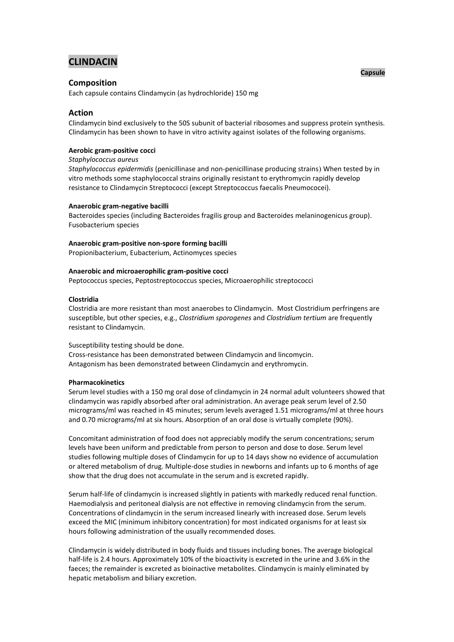# **CLINDACIN**

# **Composition**

Each capsule contains Clindamycin (as hydrochloride) 150 mg

# **Action**

Clindamycin bind exclusively to the 50S subunit of bacterial ribosomes and suppress protein synthesis. Clindamycin has been shown to have in vitro activity against isolates of the following organisms.

# **Aerobic gram-positive cocci**

### *Staphylococcus aureus*

*Staphylococcus epidermidis* (penicillinase and non-penicillinase producing strains) When tested by in vitro methods some staphylococcal strains originally resistant to erythromycin rapidly develop resistance to Clindamycin Streptococci (except Streptococcus faecalis Pneumococei).

# **Anaerobic gram-negative bacilli**

Bacteroides species (including Bacteroides fragilis group and Bacteroides melaninogenicus group). Fusobacterium species

# **Anaerobic gram-positive non-spore forming bacilli**

Propionibacterium, Eubacterium, Actinomyces species

# **Anaerobic and microaerophilic gram-positive cocci**

Peptococcus species, Peptostreptococcus species, Microaerophilic streptococci

# **Clostridia**

Clostridia are more resistant than most anaerobes to Clindamycin. Most Clostridium perfringens are susceptible, but other species, e.g., *Clostridium sporogenes* and *Clostridium tertium* are frequently resistant to Clindamycin.

# Susceptibility testing should be done.

Cross-resistance has been demonstrated between Clindamycin and lincomycin. Antagonism has been demonstrated between Clindamycin and erythromycin.

### **Pharmacokinetics**

Serum level studies with a 150 mg oral dose of clindamycin in 24 normal adult volunteers showed that clindamycin was rapidly absorbed after oral administration. An average peak serum level of 2.50 micrograms/ml was reached in 45 minutes; serum levels averaged 1.51 micrograms/ml at three hours and 0.70 micrograms/ml at six hours. Absorption of an oral dose is virtually complete (90%).

Concomitant administration of food does not appreciably modify the serum concentrations; serum levels have been uniform and predictable from person to person and dose to dose. Serum level studies following multiple doses of Clindamycin for up to 14 days show no evidence of accumulation or altered metabolism of drug. Multiple-dose studies in newborns and infants up to 6 months of age show that the drug does not accumulate in the serum and is excreted rapidly.

Serum half-life of clindamycin is increased slightly in patients with markedly reduced renal function. Haemodialysis and peritoneal dialysis are not effective in removing clindamycin from the serum. Concentrations of clindamycin in the serum increased linearly with increased dose. Serum levels exceed the MIC (minimum inhibitory concentration) for most indicated organisms for at least six hours following administration of the usually recommended doses.

Clindamycin is widely distributed in body fluids and tissues including bones. The average biological half-life is 2.4 hours. Approximately 10% of the bioactivity is excreted in the urine and 3.6% in the faeces; the remainder is excreted as bioinactive metabolites. Clindamycin is mainly eliminated by hepatic metabolism and biliary excretion.

# **Capsule**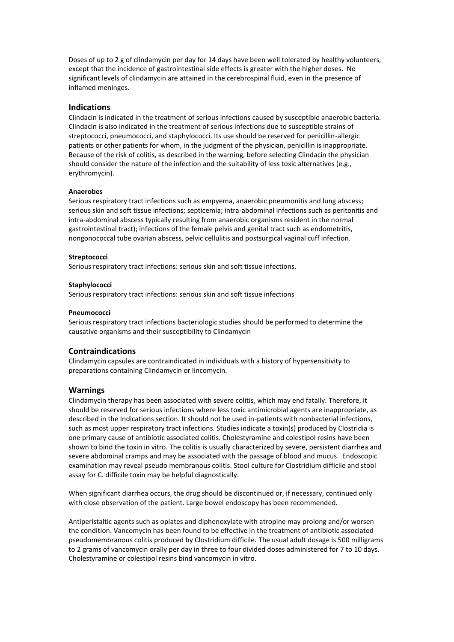Doses of up to 2 g of clindamycin per day for 14 days have been well tolerated by healthy volunteers, except that the incidence of gastrointestinal side effects is greater with the higher doses. No significant levels of clindamycin are attained in the cerebrospinal fluid, even in the presence of inflamed meninges.

# **Indications**

Clindacin is indicated in the treatment of serious infections caused by susceptible anaerobic bacteria. Clindacin is also indicated in the treatment of serious infections due to susceptible strains of streptococci, pneumococci, and staphylococci. Its use should be reserved for penicillin-allergic patients or other patients for whom, in the judgment of the physician, penicillin is inappropriate. Because of the risk of colitis, as described in the warning, before selecting Clindacin the physician should consider the nature of the infection and the suitability of less toxic alternatives (e.g., erythromycin).

#### **Anaerobes**

Serious respiratory tract infections such as empyema, anaerobic pneumonitis and lung abscess; serious skin and soft tissue infections; septicemia; intra-abdominal infections such as peritonitis and intra-abdominal abscess typically resulting from anaerobic organisms resident in the normal gastrointestinal tract); infections of the female pelvis and genital tract such as endometritis, nongonococcal tube ovarian abscess, pelvic cellulitis and postsurgical vaginal cuff infection.

#### **Streptococci**

Serious respiratory tract infections: serious skin and soft tissue infections.

#### **Staphylococci**

Serious respiratory tract infections: serious skin and soft tissue infections

# **Pneumococci**

Serious respiratory tract infections bacteriologic studies should be performed to determine the causative organisms and their susceptibility to Clindamycin

# **Contraindications**

Clindamycin capsules are contraindicated in individuals with a history of hypersensitivity to preparations containing Clindamycin or lincomycin.

### **Warnings**

Clindamycin therapy has been associated with severe colitis, which may end fatally. Therefore, it should be reserved for serious infections where less toxic antimicrobial agents are inappropriate, as described in the Indications section. It should not be used in-patients with nonbacterial infections, such as most upper respiratory tract infections. Studies indicate a toxin(s) produced by Clostridia is one primary cause of antibiotic associated colitis. Cholestyramine and colestipol resins have been shown to bind the toxin in vitro. The colitis is usually characterized by severe, persistent diarrhea and severe abdominal cramps and may be associated with the passage of blood and mucus. Endoscopic examination may reveal pseudo membranous colitis. Stool culture for Clostridium difficile and stool assay for C. difficile toxin may be helpful diagnostically.

When significant diarrhea occurs, the drug should be discontinued or, if necessary, continued only with close observation of the patient. Large bowel endoscopy has been recommended.

Antiperistaltic agents such as opiates and diphenoxylate with atropine may prolong and/or worsen the condition. Vancomycin has been found to be effective in the treatment of antibiotic associated pseudomembranous colitis produced by Clostridium difficile. The usual adult dosage is 500 milligrams to 2 grams of vancomycin orally per day in three to four divided doses administered for 7 to 10 days. Cholestyramine or colestipol resins bind vancomycin in vitro.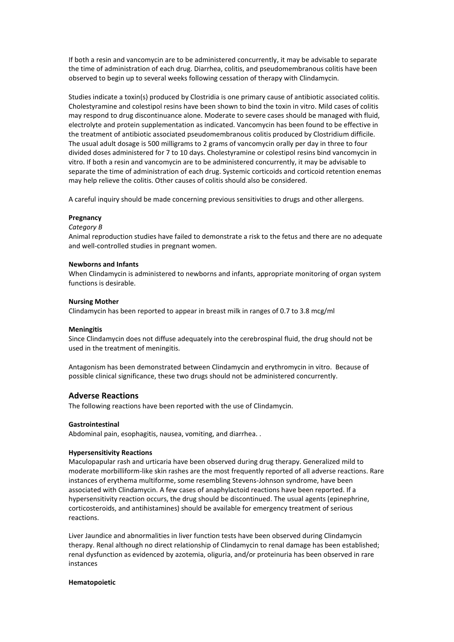If both a resin and vancomycin are to be administered concurrently, it may be advisable to separate the time of administration of each drug. Diarrhea, colitis, and pseudomembranous colitis have been observed to begin up to several weeks following cessation of therapy with Clindamycin.

Studies indicate a toxin(s) produced by Clostridia is one primary cause of antibiotic associated colitis. Cholestyramine and colestipol resins have been shown to bind the toxin in vitro. Mild cases of colitis may respond to drug discontinuance alone. Moderate to severe cases should be managed with fluid, electrolyte and protein supplementation as indicated. Vancomycin has been found to be effective in the treatment of antibiotic associated pseudomembranous colitis produced by Clostridium difficile. The usual adult dosage is 500 milligrams to 2 grams of vancomycin orally per day in three to four divided doses administered for 7 to 10 days. Cholestyramine or colestipol resins bind vancomycin in vitro. If both a resin and vancomycin are to be administered concurrently, it may be advisable to separate the time of administration of each drug. Systemic corticoids and corticoid retention enemas may help relieve the colitis. Other causes of colitis should also be considered.

A careful inquiry should be made concerning previous sensitivities to drugs and other allergens.

#### **Pregnancy**

#### *Category B*

Animal reproduction studies have failed to demonstrate a risk to the fetus and there are no adequate and well-controlled studies in pregnant women.

# **Newborns and Infants**

When Clindamycin is administered to newborns and infants, appropriate monitoring of organ system functions is desirable.

#### **Nursing Mother**

Clindamycin has been reported to appear in breast milk in ranges of 0.7 to 3.8 mcg/ml

#### **Meningitis**

Since Clindamycin does not diffuse adequately into the cerebrospinal fluid, the drug should not be used in the treatment of meningitis.

Antagonism has been demonstrated between Clindamycin and erythromycin in vitro. Because of possible clinical significance, these two drugs should not be administered concurrently.

# **Adverse Reactions**

The following reactions have been reported with the use of Clindamycin.

#### **Gastrointestinal**

Abdominal pain, esophagitis, nausea, vomiting, and diarrhea. .

#### **Hypersensitivity Reactions**

Maculopapular rash and urticaria have been observed during drug therapy. Generalized mild to moderate morbilliform-like skin rashes are the most frequently reported of all adverse reactions. Rare instances of erythema multiforme, some resembling Stevens-Johnson syndrome, have been associated with Clindamycin. A few cases of anaphylactoid reactions have been reported. If a hypersensitivity reaction occurs, the drug should be discontinued. The usual agents (epinephrine, corticosteroids, and antihistamines) should be available for emergency treatment of serious reactions.

Liver Jaundice and abnormalities in liver function tests have been observed during Clindamycin therapy. Renal although no direct relationship of Clindamycin to renal damage has been established; renal dysfunction as evidenced by azotemia, oliguria, and/or proteinuria has been observed in rare instances

### **Hematopoietic**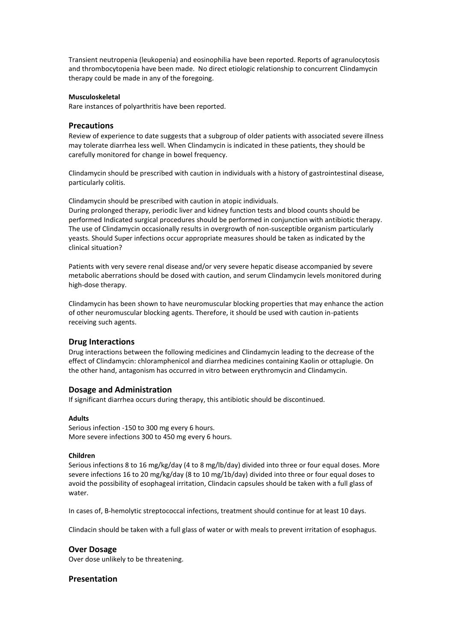Transient neutropenia (leukopenia) and eosinophilia have been reported. Reports of agranulocytosis and thrombocytopenia have been made. No direct etiologic relationship to concurrent Clindamycin therapy could be made in any of the foregoing.

### **Musculoskeletal**

Rare instances of polyarthritis have been reported.

# **Precautions**

Review of experience to date suggests that a subgroup of older patients with associated severe illness may tolerate diarrhea less well. When Clindamycin is indicated in these patients, they should be carefully monitored for change in bowel frequency.

Clindamycin should be prescribed with caution in individuals with a history of gastrointestinal disease, particularly colitis.

Clindamycin should be prescribed with caution in atopic individuals. During prolonged therapy, periodic liver and kidney function tests and blood counts should be performed Indicated surgical procedures should be performed in conjunction with antibiotic therapy. The use of Clindamycin occasionally results in overgrowth of non-susceptible organism particularly yeasts. Should Super infections occur appropriate measures should be taken as indicated by the clinical situation?

Patients with very severe renal disease and/or very severe hepatic disease accompanied by severe metabolic aberrations should be dosed with caution, and serum Clindamycin levels monitored during high-dose therapy.

Clindamycin has been shown to have neuromuscular blocking properties that may enhance the action of other neuromuscular blocking agents. Therefore, it should be used with caution in-patients receiving such agents.

# **Drug Interactions**

Drug interactions between the following medicines and Clindamycin leading to the decrease of the effect of Clindamycin: chloramphenicol and diarrhea medicines containing Kaolin or ottaplugie. On the other hand, antagonism has occurred in vitro between erythromycin and Clindamycin.

# **Dosage and Administration**

If significant diarrhea occurs during therapy, this antibiotic should be discontinued.

### **Adults**

Serious infection -150 to 300 mg every 6 hours. More severe infections 300 to 450 mg every 6 hours.

### **Children**

Serious infections 8 to 16 mg/kg/day (4 to 8 mg/lb/day) divided into three or four equal doses. More severe infections 16 to 20 mg/kg/day (8 to 10 mg/1b/day) divided into three or four equal doses to avoid the possibility of esophageal irritation, Clindacin capsules should be taken with a full glass of water.

In cases of, B-hemolytic streptococcal infections, treatment should continue for at least 10 days.

Clindacin should be taken with a full glass of water or with meals to prevent irritation of esophagus.

### **Over Dosage**

Over dose unlikely to be threatening.

# **Presentation**